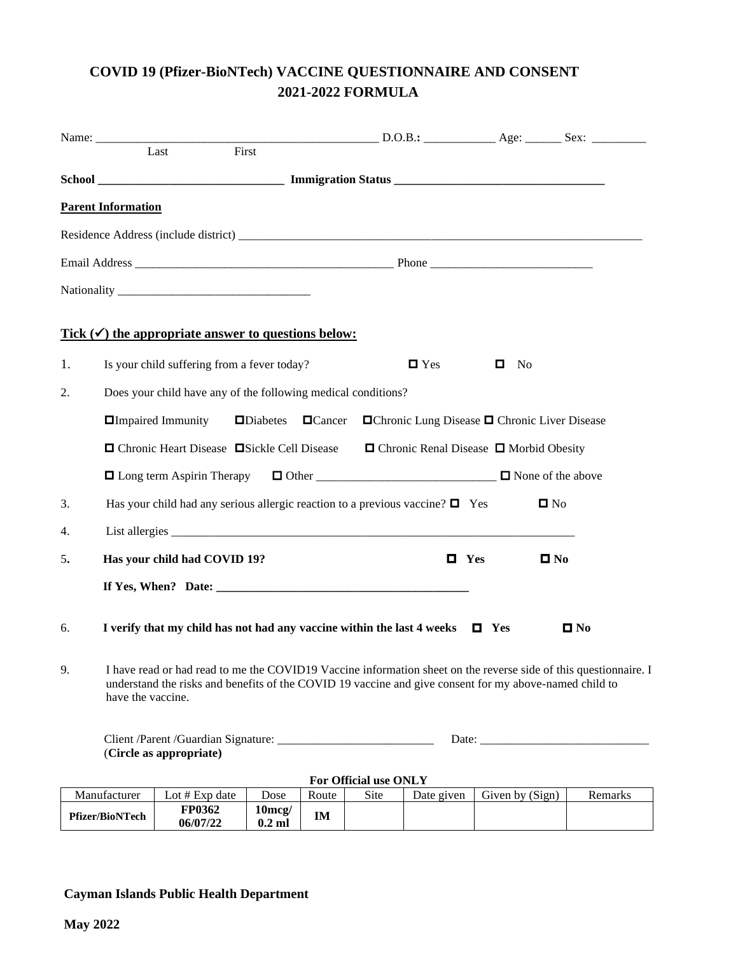## **COVID 19 (Pfizer-BioNTech) VACCINE QUESTIONNAIRE AND CONSENT 2021-2022 FORMULA**

|                                                                                                                                                                                                                                                       |                                                                                                                    | First<br>Last                                                                          |                               |       |                       |                                                          |                   |                   |
|-------------------------------------------------------------------------------------------------------------------------------------------------------------------------------------------------------------------------------------------------------|--------------------------------------------------------------------------------------------------------------------|----------------------------------------------------------------------------------------|-------------------------------|-------|-----------------------|----------------------------------------------------------|-------------------|-------------------|
|                                                                                                                                                                                                                                                       |                                                                                                                    |                                                                                        |                               |       |                       |                                                          |                   |                   |
|                                                                                                                                                                                                                                                       | <b>Parent Information</b>                                                                                          |                                                                                        |                               |       |                       |                                                          |                   |                   |
|                                                                                                                                                                                                                                                       |                                                                                                                    |                                                                                        |                               |       |                       |                                                          |                   |                   |
|                                                                                                                                                                                                                                                       |                                                                                                                    |                                                                                        |                               |       |                       |                                                          |                   |                   |
|                                                                                                                                                                                                                                                       |                                                                                                                    |                                                                                        |                               |       |                       |                                                          |                   |                   |
|                                                                                                                                                                                                                                                       |                                                                                                                    | Tick $(\checkmark)$ the appropriate answer to questions below:                         |                               |       |                       |                                                          |                   |                   |
| 1.                                                                                                                                                                                                                                                    |                                                                                                                    | Is your child suffering from a fever today?                                            |                               |       |                       | $\blacksquare$ Yes                                       | $\blacksquare$ No |                   |
| Does your child have any of the following medical conditions?<br>2.                                                                                                                                                                                   |                                                                                                                    |                                                                                        |                               |       |                       |                                                          |                   |                   |
|                                                                                                                                                                                                                                                       | $\Box$ Impaired Immunity<br>$\Box$ Diabetes $\Box$ Cancer $\Box$ Chronic Lung Disease $\Box$ Chronic Liver Disease |                                                                                        |                               |       |                       |                                                          |                   |                   |
|                                                                                                                                                                                                                                                       |                                                                                                                    | □ Chronic Heart Disease □ Sickle Cell Disease □ Chronic Renal Disease □ Morbid Obesity |                               |       |                       |                                                          |                   |                   |
|                                                                                                                                                                                                                                                       | □ Long term Aspirin Therapy □ Other _______________________________ □ None of the above                            |                                                                                        |                               |       |                       |                                                          |                   |                   |
| 3.                                                                                                                                                                                                                                                    | Has your child had any serious allergic reaction to a previous vaccine? $\Box$ Yes<br>$\square$ No                 |                                                                                        |                               |       |                       |                                                          |                   |                   |
| 4.                                                                                                                                                                                                                                                    |                                                                                                                    |                                                                                        |                               |       |                       |                                                          |                   |                   |
| 5.                                                                                                                                                                                                                                                    | Has your child had COVID 19?                                                                                       |                                                                                        |                               |       |                       | $\blacksquare$ Yes                                       |                   | $\blacksquare$ No |
|                                                                                                                                                                                                                                                       |                                                                                                                    |                                                                                        |                               |       |                       |                                                          |                   |                   |
| 6.                                                                                                                                                                                                                                                    |                                                                                                                    | I verify that my child has not had any vaccine within the last 4 weeks $\Box$ Yes      |                               |       |                       |                                                          |                   | $\blacksquare$ No |
| I have read or had read to me the COVID19 Vaccine information sheet on the reverse side of this questionnaire. I<br>9.<br>understand the risks and benefits of the COVID 19 vaccine and give consent for my above-named child to<br>have the vaccine. |                                                                                                                    |                                                                                        |                               |       |                       |                                                          |                   |                   |
| (Circle as appropriate)                                                                                                                                                                                                                               |                                                                                                                    |                                                                                        |                               |       |                       | Date: $\frac{1}{\sqrt{1-\frac{1}{2}} \cdot \frac{1}{2}}$ |                   |                   |
|                                                                                                                                                                                                                                                       |                                                                                                                    |                                                                                        |                               |       | For Official use ONLY |                                                          |                   |                   |
|                                                                                                                                                                                                                                                       | Manufacturer                                                                                                       | Lot # Exp date                                                                         | Dose                          | Route | Site                  | Date given                                               | Given by (Sign)   | Remarks           |
| Pfizer/BioNTech                                                                                                                                                                                                                                       |                                                                                                                    | FP0362<br>06/07/22                                                                     | $10 \text{mcg}$ /<br>$0.2$ ml | IM    |                       |                                                          |                   |                   |

#### **Cayman Islands Public Health Department**